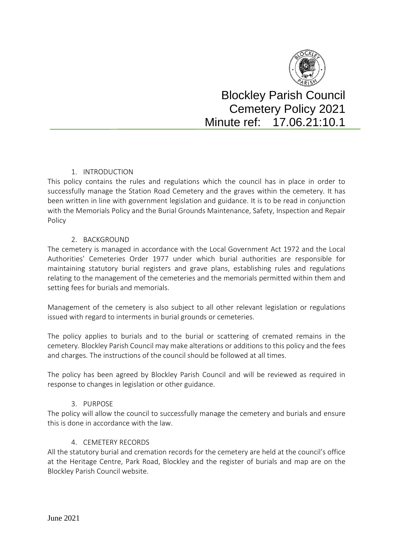

Blockley Parish Council Cemetery Policy 2021 Minute ref: 17.06.21:10.1

# 1. INTRODUCTION

This policy contains the rules and regulations which the council has in place in order to successfully manage the Station Road Cemetery and the graves within the cemetery. It has been written in line with government legislation and guidance. It is to be read in conjunction with the Memorials Policy and the Burial Grounds Maintenance, Safety, Inspection and Repair Policy

## 2. BACKGROUND

The cemetery is managed in accordance with the Local Government Act 1972 and the Local Authorities' Cemeteries Order 1977 under which burial authorities are responsible for maintaining statutory burial registers and grave plans, establishing rules and regulations relating to the management of the cemeteries and the memorials permitted within them and setting fees for burials and memorials.

Management of the cemetery is also subject to all other relevant legislation or regulations issued with regard to interments in burial grounds or cemeteries.

The policy applies to burials and to the burial or scattering of cremated remains in the cemetery. Blockley Parish Council may make alterations or additions to this policy and the fees and charges. The instructions of the council should be followed at all times.

The policy has been agreed by Blockley Parish Council and will be reviewed as required in response to changes in legislation or other guidance.

## 3. PURPOSE

The policy will allow the council to successfully manage the cemetery and burials and ensure this is done in accordance with the law.

## 4. CEMETERY RECORDS

All the statutory burial and cremation records for the cemetery are held at the council's office at the Heritage Centre, Park Road, Blockley and the register of burials and map are on the Blockley Parish Council website.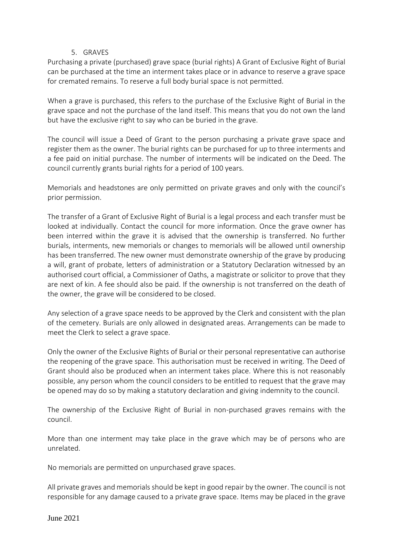#### 5. GRAVES

Purchasing a private (purchased) grave space (burial rights) A Grant of Exclusive Right of Burial can be purchased at the time an interment takes place or in advance to reserve a grave space for cremated remains. To reserve a full body burial space is not permitted.

When a grave is purchased, this refers to the purchase of the Exclusive Right of Burial in the grave space and not the purchase of the land itself. This means that you do not own the land but have the exclusive right to say who can be buried in the grave.

The council will issue a Deed of Grant to the person purchasing a private grave space and register them as the owner. The burial rights can be purchased for up to three interments and a fee paid on initial purchase. The number of interments will be indicated on the Deed. The council currently grants burial rights for a period of 100 years.

Memorials and headstones are only permitted on private graves and only with the council's prior permission.

The transfer of a Grant of Exclusive Right of Burial is a legal process and each transfer must be looked at individually. Contact the council for more information. Once the grave owner has been interred within the grave it is advised that the ownership is transferred. No further burials, interments, new memorials or changes to memorials will be allowed until ownership has been transferred. The new owner must demonstrate ownership of the grave by producing a will, grant of probate, letters of administration or a Statutory Declaration witnessed by an authorised court official, a Commissioner of Oaths, a magistrate or solicitor to prove that they are next of kin. A fee should also be paid. If the ownership is not transferred on the death of the owner, the grave will be considered to be closed.

Any selection of a grave space needs to be approved by the Clerk and consistent with the plan of the cemetery. Burials are only allowed in designated areas. Arrangements can be made to meet the Clerk to select a grave space.

Only the owner of the Exclusive Rights of Burial or their personal representative can authorise the reopening of the grave space. This authorisation must be received in writing. The Deed of Grant should also be produced when an interment takes place. Where this is not reasonably possible, any person whom the council considers to be entitled to request that the grave may be opened may do so by making a statutory declaration and giving indemnity to the council.

The ownership of the Exclusive Right of Burial in non-purchased graves remains with the council.

More than one interment may take place in the grave which may be of persons who are unrelated.

No memorials are permitted on unpurchased grave spaces.

All private graves and memorials should be kept in good repair by the owner. The council is not responsible for any damage caused to a private grave space. Items may be placed in the grave

June 2021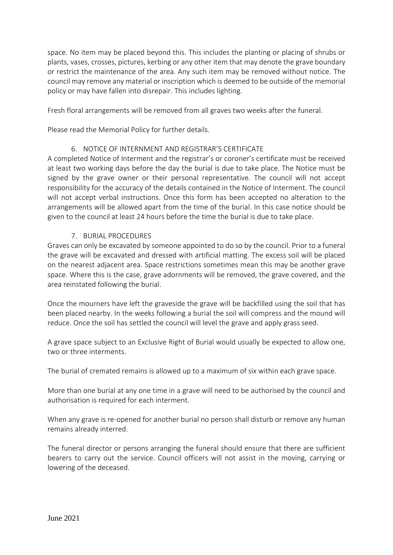space. No item may be placed beyond this. This includes the planting or placing of shrubs or plants, vases, crosses, pictures, kerbing or any other item that may denote the grave boundary or restrict the maintenance of the area. Any such item may be removed without notice. The council may remove any material or inscription which is deemed to be outside of the memorial policy or may have fallen into disrepair. This includes lighting.

Fresh floral arrangements will be removed from all graves two weeks after the funeral.

Please read the Memorial Policy for further details.

# 6. NOTICE OF INTERNMENT AND REGISTRAR'S CERTIFICATE

A completed Notice of Interment and the registrar's or coroner's certificate must be received at least two working days before the day the burial is due to take place. The Notice must be signed by the grave owner or their personal representative. The council will not accept responsibility for the accuracy of the details contained in the Notice of Interment. The council will not accept verbal instructions. Once this form has been accepted no alteration to the arrangements will be allowed apart from the time of the burial. In this case notice should be given to the council at least 24 hours before the time the burial is due to take place.

# 7. BURIAL PROCEDURES

Graves can only be excavated by someone appointed to do so by the council. Prior to a funeral the grave will be excavated and dressed with artificial matting. The excess soil will be placed on the nearest adjacent area. Space restrictions sometimes mean this may be another grave space. Where this is the case, grave adornments will be removed, the grave covered, and the area reinstated following the burial.

Once the mourners have left the graveside the grave will be backfilled using the soil that has been placed nearby. In the weeks following a burial the soil will compress and the mound will reduce. Once the soil has settled the council will level the grave and apply grass seed.

A grave space subject to an Exclusive Right of Burial would usually be expected to allow one, two or three interments.

The burial of cremated remains is allowed up to a maximum of six within each grave space.

More than one burial at any one time in a grave will need to be authorised by the council and authorisation is required for each interment.

When any grave is re-opened for another burial no person shall disturb or remove any human remains already interred.

The funeral director or persons arranging the funeral should ensure that there are sufficient bearers to carry out the service. Council officers will not assist in the moving, carrying or lowering of the deceased.